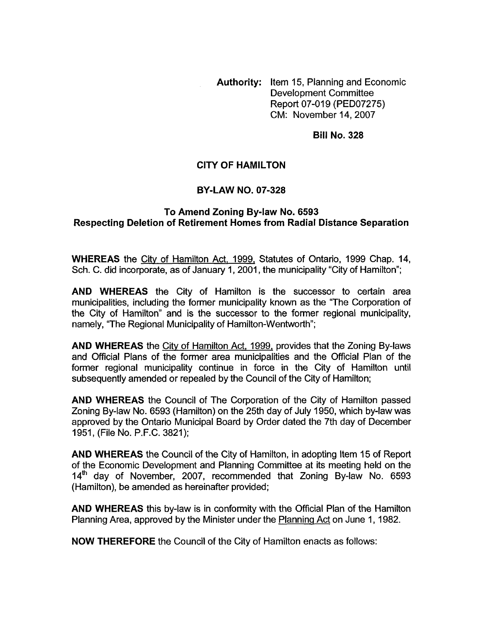**Authority:** Item 15, Planning and Economic Development Committee Report 07-019 (PED07275) CM: November 14,2007

**Bill No. 328** 

## **CITY OF HAMILTON**

## **BY-LAW NO. 07-328**

## **Respecting Deletion of Retirement Homes from Radial Distance Separation To Amend Zoning By-law No. 6593**

**WHEREAS** the City of Hamilton Act, 1999, Statutes of Ontario, 1999 Chap. 14, Sch. C. did incorporate, as of January 1, 2001, the municipality "City of Hamilton";

**AND WHEREAS** the City of Hamilton is the successor to certain area municipalities, including the former municipality known as the "The Corporation of the City of Hamilton" and is the successor to the former regional municipality, namely, "The Regional Municipality of Hamilton-Wentworth";

**AND WHEREAS** the City of Hamilton Act, 1999, provides that the Zoning By-laws and Official Plans of the former area municipalities and the Official Plan of the former regional municipality continue in force in the City of Hamilton until subsequently amended or repealed by the Council of the City of Hamilton;

**AND WHEREAS** the Council of The Corporation of the City of Hamilton passed Zoning By-law No. 6593 (Hamilton) on the 25th day of July 1950, which by-law was approved by the Ontario Municipal Board by Order dated the 7th day of December 1951, (File No. P.F.C. 3821);

**AND WHEREAS** the Council of the City of Hamilton, in adopting Item 15 of Report of the Economic Development and Planning Committee at its meeting held on the  $14<sup>th</sup>$  day of November, 2007, recommended that Zoning By-law No. 6593 (Hamilton), be amended as hereinafter provided;

**AND WHEREAS** this by-law is in conformity with the Official Plan of the Hamilton Planning Area, approved by the Minister under the Planning Act on June 1, 1982.

**NOW THEREFORE** the Council of the City of Hamilton enacts as follows: